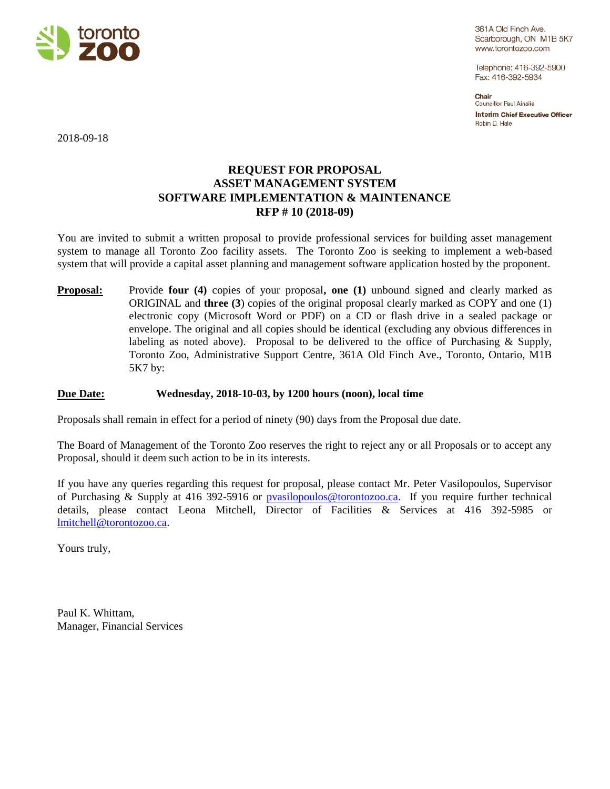

361A Old Finch Ave. Scarborough, ON M1B 5K7 www.torontozoo.com

Telephone: 416-392-5900 Fax: 416-392-5934

Chair Councillor Paul Ainslie **Interim Chief Executive Officer** Robin D. Hale

2018-09-18

### **REQUEST FOR PROPOSAL ASSET MANAGEMENT SYSTEM SOFTWARE IMPLEMENTATION & MAINTENANCE RFP # 10 (2018-09)**

You are invited to submit a written proposal to provide professional services for building asset management system to manage all Toronto Zoo facility assets. The Toronto Zoo is seeking to implement a web-based system that will provide a capital asset planning and management software application hosted by the proponent.

**Proposal:** Provide **four** (4) copies of your proposal, one (1) unbound signed and clearly marked as ORIGINAL and **three (3**) copies of the original proposal clearly marked as COPY and one (1) electronic copy (Microsoft Word or PDF) on a CD or flash drive in a sealed package or envelope. The original and all copies should be identical (excluding any obvious differences in labeling as noted above). Proposal to be delivered to the office of Purchasing & Supply, Toronto Zoo, Administrative Support Centre, 361A Old Finch Ave., Toronto, Ontario, M1B 5K7 by:

#### **Due Date: Wednesday, 2018-10-03, by 1200 hours (noon), local time**

Proposals shall remain in effect for a period of ninety (90) days from the Proposal due date.

The Board of Management of the Toronto Zoo reserves the right to reject any or all Proposals or to accept any Proposal, should it deem such action to be in its interests.

If you have any queries regarding this request for proposal, please contact Mr. Peter Vasilopoulos, Supervisor of Purchasing & Supply at 416 392-5916 or [pvasilopoulos@torontozoo.ca.](mailto:pvasilopoulos@torontozoo.ca) If you require further technical details, please contact Leona Mitchell, Director of Facilities & Services at 416 392-5985 or [lmitchell@torontozoo.ca.](mailto:lmitchell@torontozoo.ca)

Yours truly,

Paul K. Whittam, Manager, Financial Services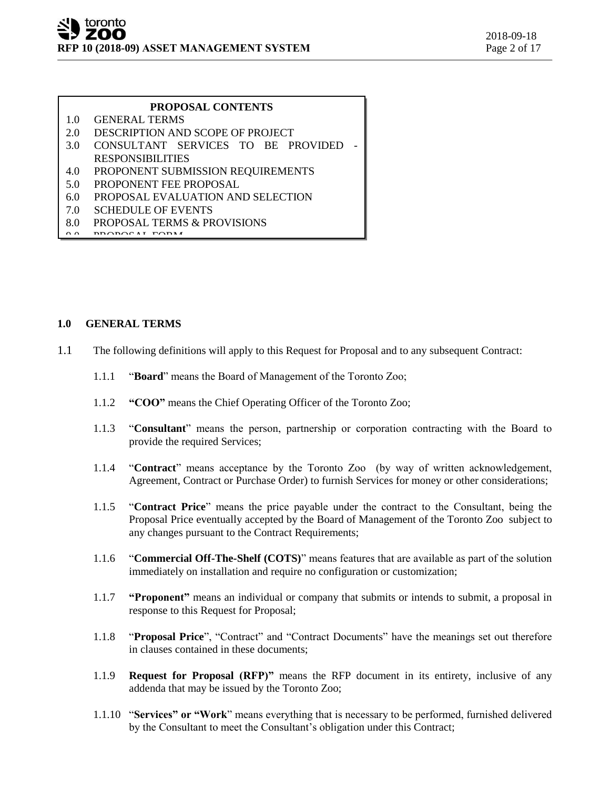#### **PROPOSAL CONTENTS**

- 1.0 GENERAL TERMS
- 2.0 DESCRIPTION AND SCOPE OF PROJECT
- 3.0 CONSULTANT SERVICES TO BE PROVIDED RESPONSIBILITIES
- 4.0 PROPONENT SUBMISSION REQUIREMENTS
- 5.0 PROPONENT FEE PROPOSAL
- 6.0 PROPOSAL EVALUATION AND SELECTION
- 7.0 SCHEDULE OF EVENTS
- 8.0 PROPOSAL TERMS & PROVISIONS
- $9.0$  PROPOSAL FORM

#### **1.0 GENERAL TERMS**

- 1.1 The following definitions will apply to this Request for Proposal and to any subsequent Contract:
	- 1.1.1 "**Board**" means the Board of Management of the Toronto Zoo;
	- 1.1.2 **"COO"** means the Chief Operating Officer of the Toronto Zoo;
	- 1.1.3 "**Consultant**" means the person, partnership or corporation contracting with the Board to provide the required Services;
	- 1.1.4 "**Contract**" means acceptance by the Toronto Zoo (by way of written acknowledgement, Agreement, Contract or Purchase Order) to furnish Services for money or other considerations;
	- 1.1.5 "**Contract Price**" means the price payable under the contract to the Consultant, being the Proposal Price eventually accepted by the Board of Management of the Toronto Zoo subject to any changes pursuant to the Contract Requirements;
	- 1.1.6 "**Commercial Off-The-Shelf (COTS)**" means features that are available as part of the solution immediately on installation and require no configuration or customization;
	- 1.1.7 **"Proponent"** means an individual or company that submits or intends to submit, a proposal in response to this Request for Proposal;
	- 1.1.8 "**Proposal Price**", "Contract" and "Contract Documents" have the meanings set out therefore in clauses contained in these documents;
	- 1.1.9 **Request for Proposal (RFP)"** means the RFP document in its entirety, inclusive of any addenda that may be issued by the Toronto Zoo;
	- 1.1.10 "**Services" or "Work**" means everything that is necessary to be performed, furnished delivered by the Consultant to meet the Consultant's obligation under this Contract;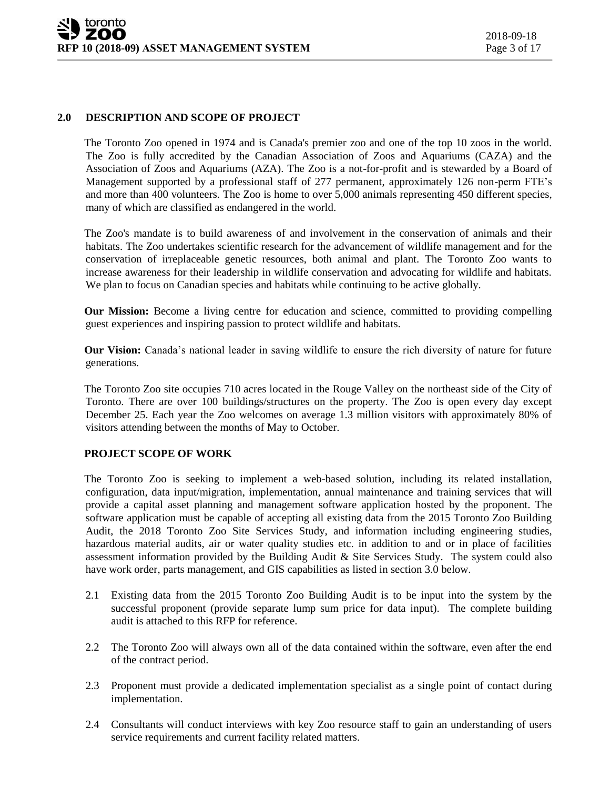#### **2.0 DESCRIPTION AND SCOPE OF PROJECT**

The Toronto Zoo opened in 1974 and is Canada's premier zoo and one of the top 10 zoos in the world. The Zoo is fully accredited by the Canadian Association of Zoos and Aquariums (CAZA) and the Association of Zoos and Aquariums (AZA). The Zoo is a not-for-profit and is stewarded by a Board of Management supported by a professional staff of 277 permanent, approximately 126 non-perm FTE's and more than 400 volunteers. The Zoo is home to over 5,000 animals representing 450 different species, many of which are classified as endangered in the world.

The Zoo's mandate is to build awareness of and involvement in the conservation of animals and their habitats. The Zoo undertakes scientific research for the advancement of wildlife management and for the conservation of irreplaceable genetic resources, both animal and plant. The Toronto Zoo wants to increase awareness for their leadership in wildlife conservation and advocating for wildlife and habitats. We plan to focus on Canadian species and habitats while continuing to be active globally.

**Our Mission:** Become a living centre for education and science, committed to providing compelling guest experiences and inspiring passion to protect wildlife and habitats.

**Our Vision:** Canada's national leader in saving wildlife to ensure the rich diversity of nature for future generations.

The Toronto Zoo site occupies 710 acres located in the Rouge Valley on the northeast side of the City of Toronto. There are over 100 buildings/structures on the property. The Zoo is open every day except December 25. Each year the Zoo welcomes on average 1.3 million visitors with approximately 80% of visitors attending between the months of May to October.

#### **PROJECT SCOPE OF WORK**

The Toronto Zoo is seeking to implement a web-based solution, including its related installation, configuration, data input/migration, implementation, annual maintenance and training services that will provide a capital asset planning and management software application hosted by the proponent. The software application must be capable of accepting all existing data from the 2015 Toronto Zoo Building Audit, the 2018 Toronto Zoo Site Services Study, and information including engineering studies, hazardous material audits, air or water quality studies etc. in addition to and or in place of facilities assessment information provided by the Building Audit & Site Services Study. The system could also have work order, parts management, and GIS capabilities as listed in section 3.0 below.

- 2.1 Existing data from the 2015 Toronto Zoo Building Audit is to be input into the system by the successful proponent (provide separate lump sum price for data input). The complete building audit is attached to this RFP for reference.
- 2.2 The Toronto Zoo will always own all of the data contained within the software, even after the end of the contract period.
- 2.3 Proponent must provide a dedicated implementation specialist as a single point of contact during implementation.
- 2.4 Consultants will conduct interviews with key Zoo resource staff to gain an understanding of users service requirements and current facility related matters.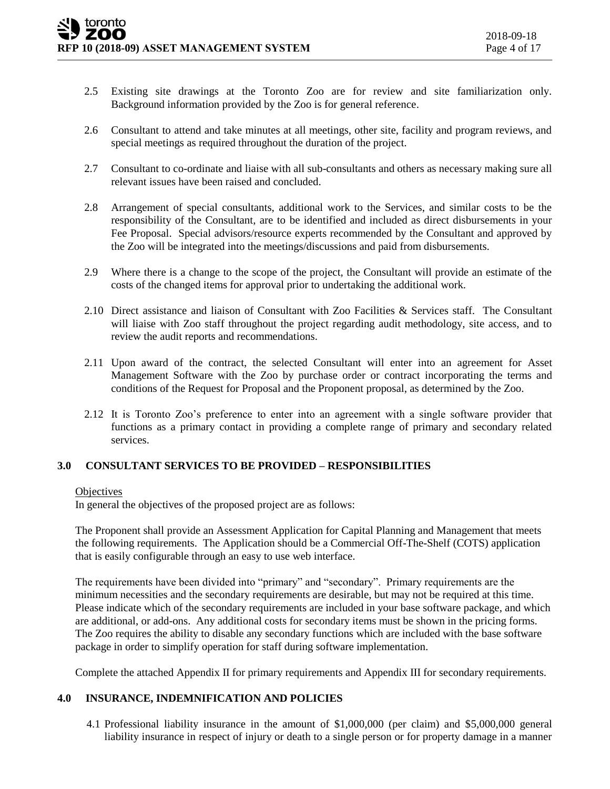- 2.5 Existing site drawings at the Toronto Zoo are for review and site familiarization only. Background information provided by the Zoo is for general reference.
- 2.6 Consultant to attend and take minutes at all meetings, other site, facility and program reviews, and special meetings as required throughout the duration of the project.
- 2.7 Consultant to co-ordinate and liaise with all sub-consultants and others as necessary making sure all relevant issues have been raised and concluded.
- 2.8 Arrangement of special consultants, additional work to the Services, and similar costs to be the responsibility of the Consultant, are to be identified and included as direct disbursements in your Fee Proposal. Special advisors/resource experts recommended by the Consultant and approved by the Zoo will be integrated into the meetings/discussions and paid from disbursements.
- 2.9 Where there is a change to the scope of the project, the Consultant will provide an estimate of the costs of the changed items for approval prior to undertaking the additional work.
- 2.10 Direct assistance and liaison of Consultant with Zoo Facilities & Services staff. The Consultant will liaise with Zoo staff throughout the project regarding audit methodology, site access, and to review the audit reports and recommendations.
- 2.11 Upon award of the contract, the selected Consultant will enter into an agreement for Asset Management Software with the Zoo by purchase order or contract incorporating the terms and conditions of the Request for Proposal and the Proponent proposal, as determined by the Zoo.
- 2.12 It is Toronto Zoo's preference to enter into an agreement with a single software provider that functions as a primary contact in providing a complete range of primary and secondary related services.

#### **3.0 CONSULTANT SERVICES TO BE PROVIDED – RESPONSIBILITIES**

#### **Objectives**

In general the objectives of the proposed project are as follows:

The Proponent shall provide an Assessment Application for Capital Planning and Management that meets the following requirements. The Application should be a Commercial Off-The-Shelf (COTS) application that is easily configurable through an easy to use web interface.

The requirements have been divided into "primary" and "secondary". Primary requirements are the minimum necessities and the secondary requirements are desirable, but may not be required at this time. Please indicate which of the secondary requirements are included in your base software package, and which are additional, or add-ons. Any additional costs for secondary items must be shown in the pricing forms. The Zoo requires the ability to disable any secondary functions which are included with the base software package in order to simplify operation for staff during software implementation.

Complete the attached Appendix II for primary requirements and Appendix III for secondary requirements.

#### **4.0 INSURANCE, INDEMNIFICATION AND POLICIES**

4.1 Professional liability insurance in the amount of \$1,000,000 (per claim) and \$5,000,000 general liability insurance in respect of injury or death to a single person or for property damage in a manner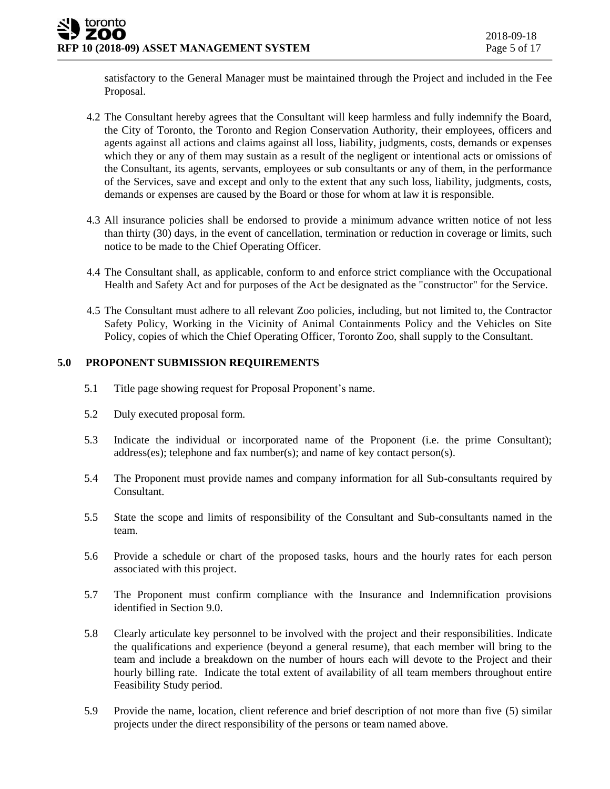satisfactory to the General Manager must be maintained through the Project and included in the Fee Proposal.

- 4.2 The Consultant hereby agrees that the Consultant will keep harmless and fully indemnify the Board, the City of Toronto, the Toronto and Region Conservation Authority, their employees, officers and agents against all actions and claims against all loss, liability, judgments, costs, demands or expenses which they or any of them may sustain as a result of the negligent or intentional acts or omissions of the Consultant, its agents, servants, employees or sub consultants or any of them, in the performance of the Services, save and except and only to the extent that any such loss, liability, judgments, costs, demands or expenses are caused by the Board or those for whom at law it is responsible.
- 4.3 All insurance policies shall be endorsed to provide a minimum advance written notice of not less than thirty (30) days, in the event of cancellation, termination or reduction in coverage or limits, such notice to be made to the Chief Operating Officer.
- 4.4 The Consultant shall, as applicable, conform to and enforce strict compliance with the Occupational Health and Safety Act and for purposes of the Act be designated as the "constructor" for the Service.
- 4.5 The Consultant must adhere to all relevant Zoo policies, including, but not limited to, the Contractor Safety Policy, Working in the Vicinity of Animal Containments Policy and the Vehicles on Site Policy, copies of which the Chief Operating Officer, Toronto Zoo, shall supply to the Consultant.

#### **5.0 PROPONENT SUBMISSION REQUIREMENTS**

- 5.1 Title page showing request for Proposal Proponent's name.
- 5.2 Duly executed proposal form.
- 5.3 Indicate the individual or incorporated name of the Proponent (i.e. the prime Consultant); address(es); telephone and fax number(s); and name of key contact person(s).
- 5.4 The Proponent must provide names and company information for all Sub-consultants required by Consultant.
- 5.5 State the scope and limits of responsibility of the Consultant and Sub-consultants named in the team.
- 5.6 Provide a schedule or chart of the proposed tasks, hours and the hourly rates for each person associated with this project.
- 5.7 The Proponent must confirm compliance with the Insurance and Indemnification provisions identified in Section 9.0.
- 5.8 Clearly articulate key personnel to be involved with the project and their responsibilities. Indicate the qualifications and experience (beyond a general resume), that each member will bring to the team and include a breakdown on the number of hours each will devote to the Project and their hourly billing rate. Indicate the total extent of availability of all team members throughout entire Feasibility Study period.
- 5.9 Provide the name, location, client reference and brief description of not more than five (5) similar projects under the direct responsibility of the persons or team named above.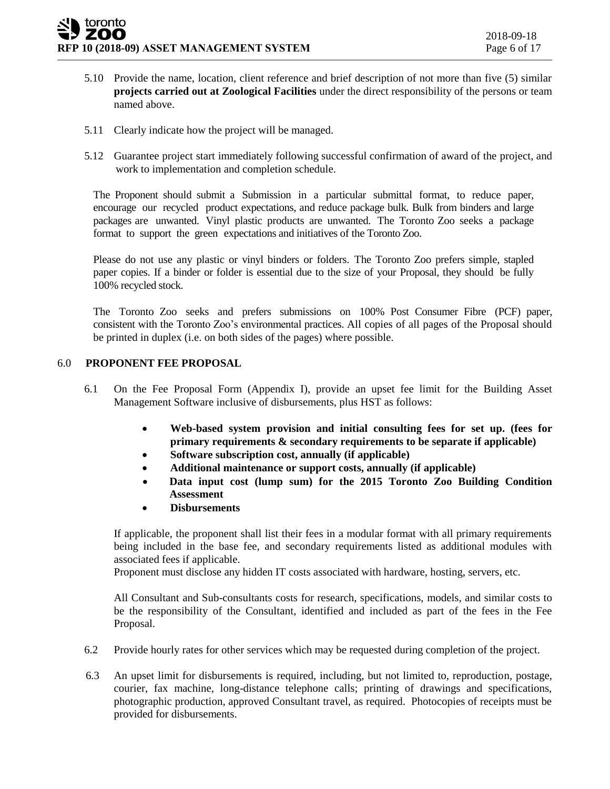- 5.10 Provide the name, location, client reference and brief description of not more than five (5) similar **projects carried out at Zoological Facilities** under the direct responsibility of the persons or team named above.
- 5.11 Clearly indicate how the project will be managed.
- 5.12 Guarantee project start immediately following successful confirmation of award of the project, and work to implementation and completion schedule.

The Proponent should submit a Submission in a particular submittal format, to reduce paper, encourage our recycled product expectations, and reduce package bulk. Bulk from binders and large packages are unwanted. Vinyl plastic products are unwanted. The Toronto Zoo seeks a package format to support the green expectations and initiatives of the Toronto Zoo.

Please do not use any plastic or vinyl binders or folders. The Toronto Zoo prefers simple, stapled paper copies. If a binder or folder is essential due to the size of your Proposal, they should be fully 100% recycled stock.

The Toronto Zoo seeks and prefers submissions on 100% Post Consumer Fibre (PCF) paper, consistent with the Toronto Zoo's environmental practices. All copies of all pages of the Proposal should be printed in duplex (i.e. on both sides of the pages) where possible.

#### 6.0 **PROPONENT FEE PROPOSAL**

- 6.1 On the Fee Proposal Form (Appendix I), provide an upset fee limit for the Building Asset Management Software inclusive of disbursements, plus HST as follows:
	- **Web-based system provision and initial consulting fees for set up. (fees for primary requirements & secondary requirements to be separate if applicable)**
	- **Software subscription cost, annually (if applicable)**
	- **Additional maintenance or support costs, annually (if applicable)**
	- **Data input cost (lump sum) for the 2015 Toronto Zoo Building Condition Assessment**
	- **Disbursements**

If applicable, the proponent shall list their fees in a modular format with all primary requirements being included in the base fee, and secondary requirements listed as additional modules with associated fees if applicable.

Proponent must disclose any hidden IT costs associated with hardware, hosting, servers, etc.

All Consultant and Sub-consultants costs for research, specifications, models, and similar costs to be the responsibility of the Consultant, identified and included as part of the fees in the Fee Proposal.

- 6.2 Provide hourly rates for other services which may be requested during completion of the project.
- 6.3 An upset limit for disbursements is required, including, but not limited to, reproduction, postage, courier, fax machine, long-distance telephone calls; printing of drawings and specifications, photographic production, approved Consultant travel, as required. Photocopies of receipts must be provided for disbursements.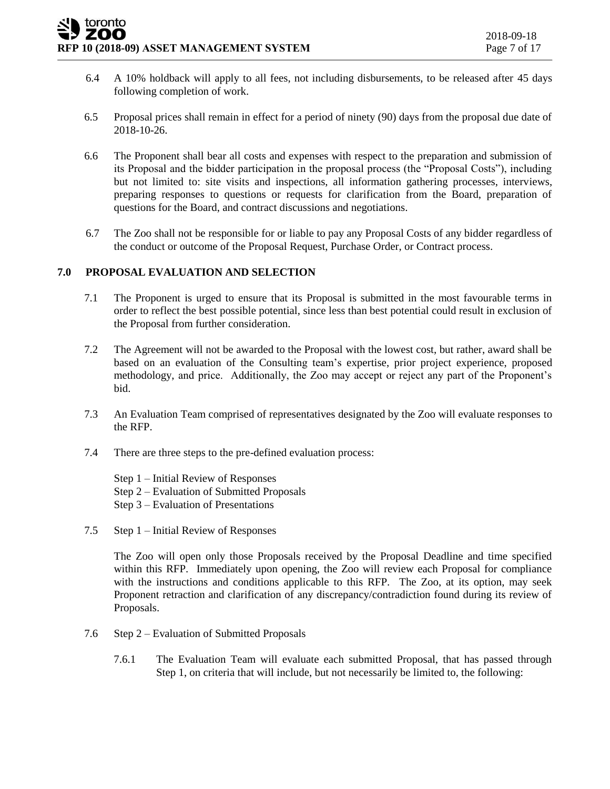- 6.4 A 10% holdback will apply to all fees, not including disbursements, to be released after 45 days following completion of work.
- 6.5 Proposal prices shall remain in effect for a period of ninety (90) days from the proposal due date of 2018-10-26.
- 6.6 The Proponent shall bear all costs and expenses with respect to the preparation and submission of its Proposal and the bidder participation in the proposal process (the "Proposal Costs"), including but not limited to: site visits and inspections, all information gathering processes, interviews, preparing responses to questions or requests for clarification from the Board, preparation of questions for the Board, and contract discussions and negotiations.
- 6.7 The Zoo shall not be responsible for or liable to pay any Proposal Costs of any bidder regardless of the conduct or outcome of the Proposal Request, Purchase Order, or Contract process.

#### **7.0 PROPOSAL EVALUATION AND SELECTION**

- 7.1 The Proponent is urged to ensure that its Proposal is submitted in the most favourable terms in order to reflect the best possible potential, since less than best potential could result in exclusion of the Proposal from further consideration.
- 7.2 The Agreement will not be awarded to the Proposal with the lowest cost, but rather, award shall be based on an evaluation of the Consulting team's expertise, prior project experience, proposed methodology, and price. Additionally, the Zoo may accept or reject any part of the Proponent's bid.
- 7.3 An Evaluation Team comprised of representatives designated by the Zoo will evaluate responses to the RFP.
- 7.4 There are three steps to the pre-defined evaluation process:
	- Step 1 Initial Review of Responses
	- Step 2 Evaluation of Submitted Proposals
	- Step 3 Evaluation of Presentations
- 7.5 Step 1 Initial Review of Responses

The Zoo will open only those Proposals received by the Proposal Deadline and time specified within this RFP. Immediately upon opening, the Zoo will review each Proposal for compliance with the instructions and conditions applicable to this RFP. The Zoo, at its option, may seek Proponent retraction and clarification of any discrepancy/contradiction found during its review of Proposals.

- 7.6 Step 2 Evaluation of Submitted Proposals
	- 7.6.1 The Evaluation Team will evaluate each submitted Proposal, that has passed through Step 1, on criteria that will include, but not necessarily be limited to, the following: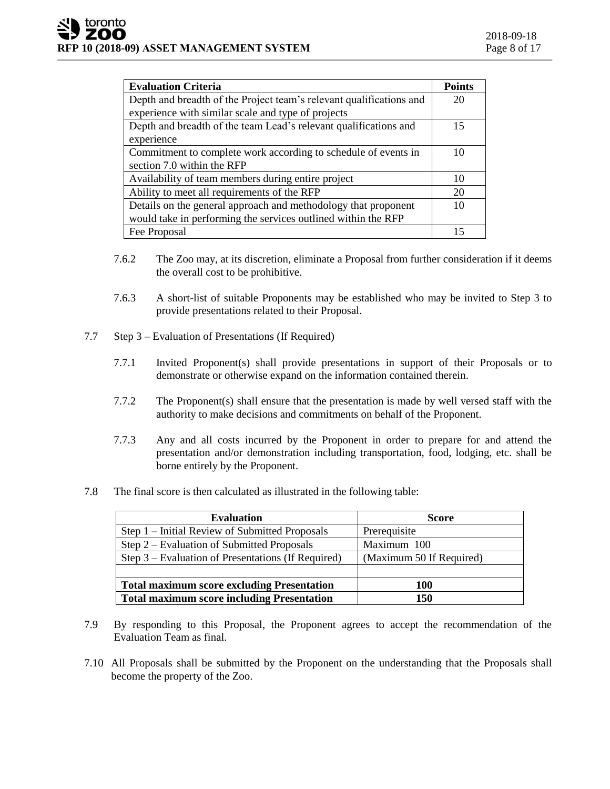| <b>Evaluation Criteria</b>                                          | <b>Points</b> |
|---------------------------------------------------------------------|---------------|
| Depth and breadth of the Project team's relevant qualifications and | 20            |
| experience with similar scale and type of projects                  |               |
| Depth and breadth of the team Lead's relevant qualifications and    | 15            |
| experience                                                          |               |
| Commitment to complete work according to schedule of events in      |               |
| section 7.0 within the RFP                                          |               |
| Availability of team members during entire project                  | 10            |
| Ability to meet all requirements of the RFP                         |               |
| Details on the general approach and methodology that proponent      |               |
| would take in performing the services outlined within the RFP       |               |
| Fee Proposal                                                        |               |

- 7.6.2 The Zoo may, at its discretion, eliminate a Proposal from further consideration if it deems the overall cost to be prohibitive.
- 7.6.3 A short-list of suitable Proponents may be established who may be invited to Step 3 to provide presentations related to their Proposal.
- 7.7 Step 3 Evaluation of Presentations (If Required)
	- 7.7.1 Invited Proponent(s) shall provide presentations in support of their Proposals or to demonstrate or otherwise expand on the information contained therein.
	- 7.7.2 The Proponent(s) shall ensure that the presentation is made by well versed staff with the authority to make decisions and commitments on behalf of the Proponent.
	- 7.7.3 Any and all costs incurred by the Proponent in order to prepare for and attend the presentation and/or demonstration including transportation, food, lodging, etc. shall be borne entirely by the Proponent.
- 7.8 The final score is then calculated as illustrated in the following table:

| <b>Evaluation</b>                                  | <b>Score</b>             |
|----------------------------------------------------|--------------------------|
| Step 1 – Initial Review of Submitted Proposals     | Prerequisite             |
| Step 2 – Evaluation of Submitted Proposals         | Maximum 100              |
| Step 3 – Evaluation of Presentations (If Required) | (Maximum 50 If Required) |
|                                                    |                          |
| <b>Total maximum score excluding Presentation</b>  | 100                      |
| <b>Total maximum score including Presentation</b>  | 150                      |

- 7.9 By responding to this Proposal, the Proponent agrees to accept the recommendation of the Evaluation Team as final.
- 7.10 All Proposals shall be submitted by the Proponent on the understanding that the Proposals shall become the property of the Zoo.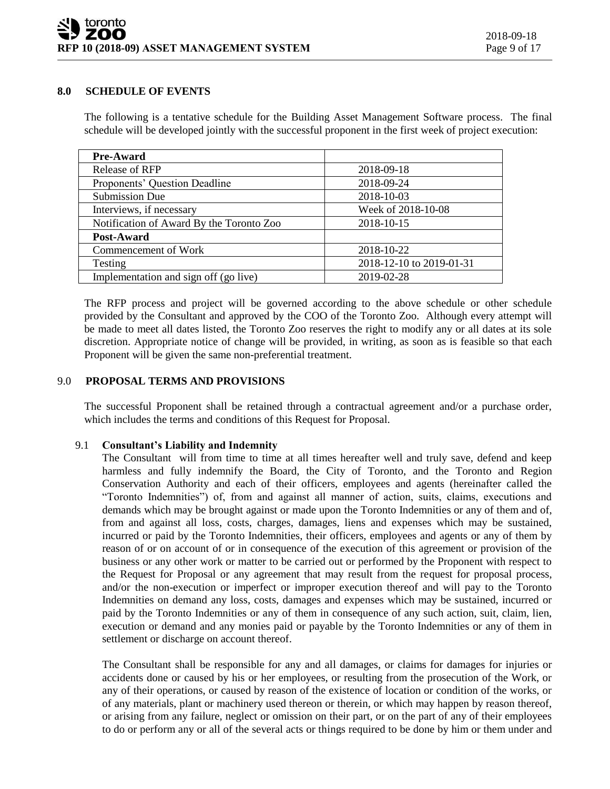#### **8.0 SCHEDULE OF EVENTS**

The following is a tentative schedule for the Building Asset Management Software process. The final schedule will be developed jointly with the successful proponent in the first week of project execution:

| <b>Pre-Award</b>                         |                          |
|------------------------------------------|--------------------------|
| Release of RFP                           | 2018-09-18               |
| Proponents' Question Deadline            | 2018-09-24               |
| <b>Submission Due</b>                    | 2018-10-03               |
| Interviews, if necessary                 | Week of 2018-10-08       |
| Notification of Award By the Toronto Zoo | 2018-10-15               |
| Post-Award                               |                          |
| Commencement of Work                     | 2018-10-22               |
| Testing                                  | 2018-12-10 to 2019-01-31 |
| Implementation and sign off (go live)    | 2019-02-28               |

The RFP process and project will be governed according to the above schedule or other schedule provided by the Consultant and approved by the COO of the Toronto Zoo. Although every attempt will be made to meet all dates listed, the Toronto Zoo reserves the right to modify any or all dates at its sole discretion. Appropriate notice of change will be provided, in writing, as soon as is feasible so that each Proponent will be given the same non-preferential treatment.

#### 9.0 **PROPOSAL TERMS AND PROVISIONS**

The successful Proponent shall be retained through a contractual agreement and/or a purchase order, which includes the terms and conditions of this Request for Proposal.

#### 9.1 **Consultant's Liability and Indemnity**

The Consultant will from time to time at all times hereafter well and truly save, defend and keep harmless and fully indemnify the Board, the City of Toronto, and the Toronto and Region Conservation Authority and each of their officers, employees and agents (hereinafter called the "Toronto Indemnities") of, from and against all manner of action, suits, claims, executions and demands which may be brought against or made upon the Toronto Indemnities or any of them and of, from and against all loss, costs, charges, damages, liens and expenses which may be sustained, incurred or paid by the Toronto Indemnities, their officers, employees and agents or any of them by reason of or on account of or in consequence of the execution of this agreement or provision of the business or any other work or matter to be carried out or performed by the Proponent with respect to the Request for Proposal or any agreement that may result from the request for proposal process, and/or the non-execution or imperfect or improper execution thereof and will pay to the Toronto Indemnities on demand any loss, costs, damages and expenses which may be sustained, incurred or paid by the Toronto Indemnities or any of them in consequence of any such action, suit, claim, lien, execution or demand and any monies paid or payable by the Toronto Indemnities or any of them in settlement or discharge on account thereof.

The Consultant shall be responsible for any and all damages, or claims for damages for injuries or accidents done or caused by his or her employees, or resulting from the prosecution of the Work, or any of their operations, or caused by reason of the existence of location or condition of the works, or of any materials, plant or machinery used thereon or therein, or which may happen by reason thereof, or arising from any failure, neglect or omission on their part, or on the part of any of their employees to do or perform any or all of the several acts or things required to be done by him or them under and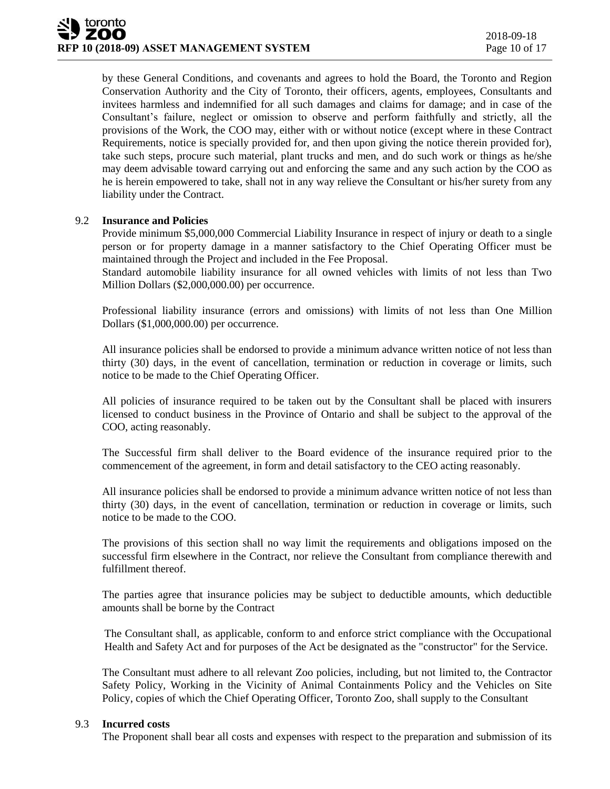by these General Conditions, and covenants and agrees to hold the Board, the Toronto and Region Conservation Authority and the City of Toronto, their officers, agents, employees, Consultants and invitees harmless and indemnified for all such damages and claims for damage; and in case of the Consultant's failure, neglect or omission to observe and perform faithfully and strictly, all the provisions of the Work, the COO may, either with or without notice (except where in these Contract Requirements, notice is specially provided for, and then upon giving the notice therein provided for), take such steps, procure such material, plant trucks and men, and do such work or things as he/she may deem advisable toward carrying out and enforcing the same and any such action by the COO as he is herein empowered to take, shall not in any way relieve the Consultant or his/her surety from any liability under the Contract.

#### 9.2 **Insurance and Policies**

Provide minimum \$5,000,000 Commercial Liability Insurance in respect of injury or death to a single person or for property damage in a manner satisfactory to the Chief Operating Officer must be maintained through the Project and included in the Fee Proposal.

Standard automobile liability insurance for all owned vehicles with limits of not less than Two Million Dollars (\$2,000,000.00) per occurrence.

Professional liability insurance (errors and omissions) with limits of not less than One Million Dollars (\$1,000,000.00) per occurrence.

All insurance policies shall be endorsed to provide a minimum advance written notice of not less than thirty (30) days, in the event of cancellation, termination or reduction in coverage or limits, such notice to be made to the Chief Operating Officer.

All policies of insurance required to be taken out by the Consultant shall be placed with insurers licensed to conduct business in the Province of Ontario and shall be subject to the approval of the COO, acting reasonably.

The Successful firm shall deliver to the Board evidence of the insurance required prior to the commencement of the agreement, in form and detail satisfactory to the CEO acting reasonably.

All insurance policies shall be endorsed to provide a minimum advance written notice of not less than thirty (30) days, in the event of cancellation, termination or reduction in coverage or limits, such notice to be made to the COO.

The provisions of this section shall no way limit the requirements and obligations imposed on the successful firm elsewhere in the Contract, nor relieve the Consultant from compliance therewith and fulfillment thereof.

The parties agree that insurance policies may be subject to deductible amounts, which deductible amounts shall be borne by the Contract

The Consultant shall, as applicable, conform to and enforce strict compliance with the Occupational Health and Safety Act and for purposes of the Act be designated as the "constructor" for the Service.

The Consultant must adhere to all relevant Zoo policies, including, but not limited to, the Contractor Safety Policy, Working in the Vicinity of Animal Containments Policy and the Vehicles on Site Policy, copies of which the Chief Operating Officer, Toronto Zoo, shall supply to the Consultant

#### 9.3 **Incurred costs**

The Proponent shall bear all costs and expenses with respect to the preparation and submission of its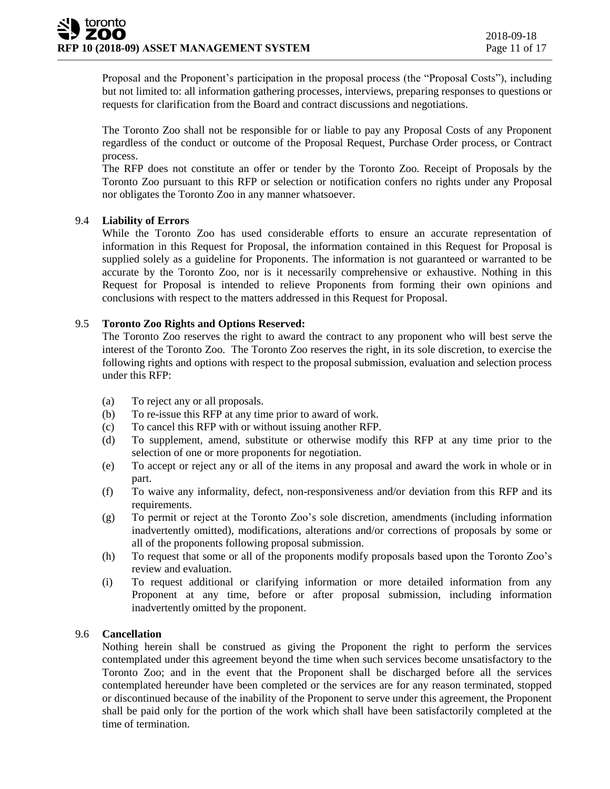Proposal and the Proponent's participation in the proposal process (the "Proposal Costs"), including but not limited to: all information gathering processes, interviews, preparing responses to questions or requests for clarification from the Board and contract discussions and negotiations.

The Toronto Zoo shall not be responsible for or liable to pay any Proposal Costs of any Proponent regardless of the conduct or outcome of the Proposal Request, Purchase Order process, or Contract process.

The RFP does not constitute an offer or tender by the Toronto Zoo. Receipt of Proposals by the Toronto Zoo pursuant to this RFP or selection or notification confers no rights under any Proposal nor obligates the Toronto Zoo in any manner whatsoever.

#### 9.4 **Liability of Errors**

While the Toronto Zoo has used considerable efforts to ensure an accurate representation of information in this Request for Proposal, the information contained in this Request for Proposal is supplied solely as a guideline for Proponents. The information is not guaranteed or warranted to be accurate by the Toronto Zoo, nor is it necessarily comprehensive or exhaustive. Nothing in this Request for Proposal is intended to relieve Proponents from forming their own opinions and conclusions with respect to the matters addressed in this Request for Proposal.

#### 9.5 **Toronto Zoo Rights and Options Reserved:**

The Toronto Zoo reserves the right to award the contract to any proponent who will best serve the interest of the Toronto Zoo. The Toronto Zoo reserves the right, in its sole discretion, to exercise the following rights and options with respect to the proposal submission, evaluation and selection process under this RFP:

- (a) To reject any or all proposals.
- (b) To re-issue this RFP at any time prior to award of work.
- (c) To cancel this RFP with or without issuing another RFP.
- (d) To supplement, amend, substitute or otherwise modify this RFP at any time prior to the selection of one or more proponents for negotiation.
- (e) To accept or reject any or all of the items in any proposal and award the work in whole or in part.
- (f) To waive any informality, defect, non-responsiveness and/or deviation from this RFP and its requirements.
- (g) To permit or reject at the Toronto Zoo's sole discretion, amendments (including information inadvertently omitted), modifications, alterations and/or corrections of proposals by some or all of the proponents following proposal submission.
- (h) To request that some or all of the proponents modify proposals based upon the Toronto Zoo's review and evaluation.
- (i) To request additional or clarifying information or more detailed information from any Proponent at any time, before or after proposal submission, including information inadvertently omitted by the proponent.

#### 9.6 **Cancellation**

Nothing herein shall be construed as giving the Proponent the right to perform the services contemplated under this agreement beyond the time when such services become unsatisfactory to the Toronto Zoo; and in the event that the Proponent shall be discharged before all the services contemplated hereunder have been completed or the services are for any reason terminated, stopped or discontinued because of the inability of the Proponent to serve under this agreement, the Proponent shall be paid only for the portion of the work which shall have been satisfactorily completed at the time of termination.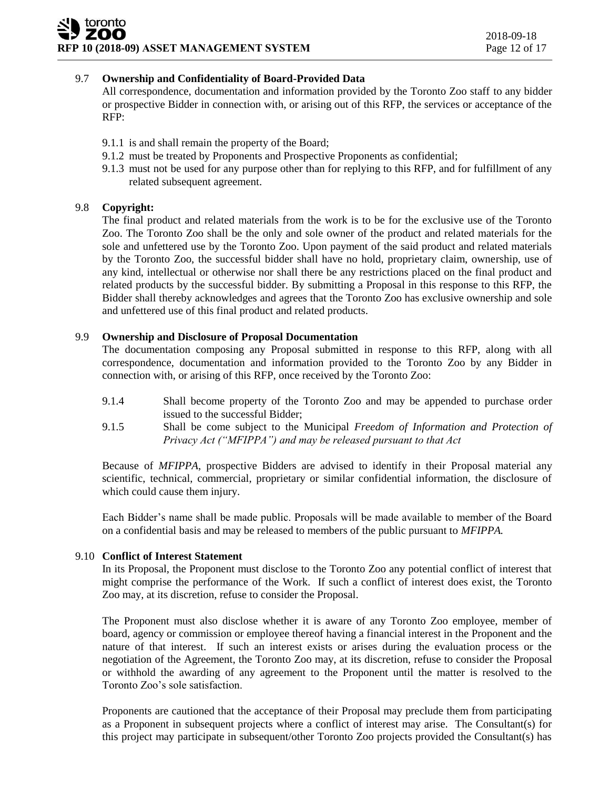#### 9.7 **Ownership and Confidentiality of Board-Provided Data**

All correspondence, documentation and information provided by the Toronto Zoo staff to any bidder or prospective Bidder in connection with, or arising out of this RFP, the services or acceptance of the RFP:

- 9.1.1 is and shall remain the property of the Board;
- 9.1.2 must be treated by Proponents and Prospective Proponents as confidential;
- 9.1.3 must not be used for any purpose other than for replying to this RFP, and for fulfillment of any related subsequent agreement.

#### 9.8 **Copyright:**

The final product and related materials from the work is to be for the exclusive use of the Toronto Zoo. The Toronto Zoo shall be the only and sole owner of the product and related materials for the sole and unfettered use by the Toronto Zoo. Upon payment of the said product and related materials by the Toronto Zoo, the successful bidder shall have no hold, proprietary claim, ownership, use of any kind, intellectual or otherwise nor shall there be any restrictions placed on the final product and related products by the successful bidder. By submitting a Proposal in this response to this RFP, the Bidder shall thereby acknowledges and agrees that the Toronto Zoo has exclusive ownership and sole and unfettered use of this final product and related products.

#### 9.9 **Ownership and Disclosure of Proposal Documentation**

The documentation composing any Proposal submitted in response to this RFP, along with all correspondence, documentation and information provided to the Toronto Zoo by any Bidder in connection with, or arising of this RFP, once received by the Toronto Zoo:

- 9.1.4 Shall become property of the Toronto Zoo and may be appended to purchase order issued to the successful Bidder;
- 9.1.5 Shall be come subject to the Municipal *Freedom of Information and Protection of Privacy Act ("MFIPPA") and may be released pursuant to that Act*

Because of *MFIPPA*, prospective Bidders are advised to identify in their Proposal material any scientific, technical, commercial, proprietary or similar confidential information, the disclosure of which could cause them injury.

Each Bidder's name shall be made public. Proposals will be made available to member of the Board on a confidential basis and may be released to members of the public pursuant to *MFIPPA.*

#### 9.10 **Conflict of Interest Statement**

In its Proposal, the Proponent must disclose to the Toronto Zoo any potential conflict of interest that might comprise the performance of the Work. If such a conflict of interest does exist, the Toronto Zoo may, at its discretion, refuse to consider the Proposal.

The Proponent must also disclose whether it is aware of any Toronto Zoo employee, member of board, agency or commission or employee thereof having a financial interest in the Proponent and the nature of that interest. If such an interest exists or arises during the evaluation process or the negotiation of the Agreement, the Toronto Zoo may, at its discretion, refuse to consider the Proposal or withhold the awarding of any agreement to the Proponent until the matter is resolved to the Toronto Zoo's sole satisfaction.

Proponents are cautioned that the acceptance of their Proposal may preclude them from participating as a Proponent in subsequent projects where a conflict of interest may arise. The Consultant(s) for this project may participate in subsequent/other Toronto Zoo projects provided the Consultant(s) has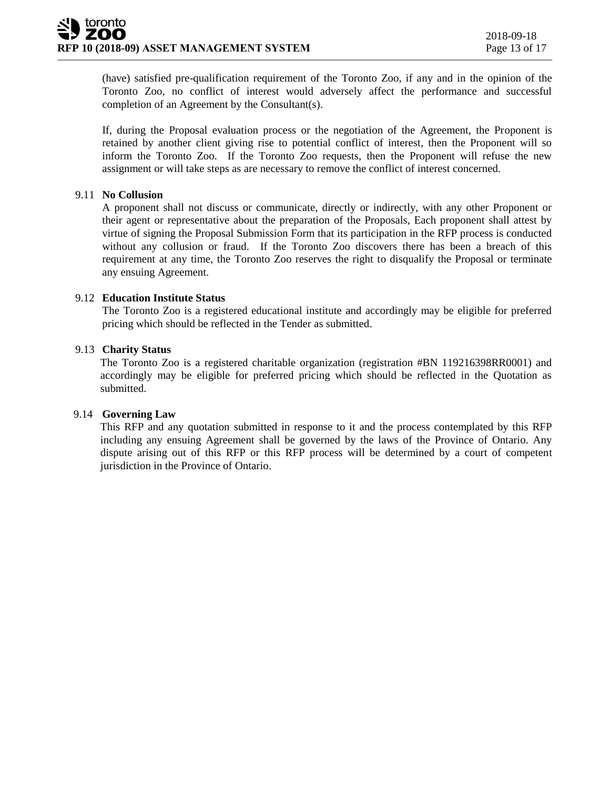(have) satisfied pre-qualification requirement of the Toronto Zoo, if any and in the opinion of the Toronto Zoo, no conflict of interest would adversely affect the performance and successful completion of an Agreement by the Consultant(s).

If, during the Proposal evaluation process or the negotiation of the Agreement, the Proponent is retained by another client giving rise to potential conflict of interest, then the Proponent will so inform the Toronto Zoo. If the Toronto Zoo requests, then the Proponent will refuse the new assignment or will take steps as are necessary to remove the conflict of interest concerned.

#### 9.11 **No Collusion**

A proponent shall not discuss or communicate, directly or indirectly, with any other Proponent or their agent or representative about the preparation of the Proposals, Each proponent shall attest by virtue of signing the Proposal Submission Form that its participation in the RFP process is conducted without any collusion or fraud. If the Toronto Zoo discovers there has been a breach of this requirement at any time, the Toronto Zoo reserves the right to disqualify the Proposal or terminate any ensuing Agreement.

#### 9.12 **Education Institute Status**

The Toronto Zoo is a registered educational institute and accordingly may be eligible for preferred pricing which should be reflected in the Tender as submitted.

#### 9.13 **Charity Status**

The Toronto Zoo is a registered charitable organization (registration #BN 119216398RR0001) and accordingly may be eligible for preferred pricing which should be reflected in the Quotation as submitted.

#### 9.14 **Governing Law**

This RFP and any quotation submitted in response to it and the process contemplated by this RFP including any ensuing Agreement shall be governed by the laws of the Province of Ontario. Any dispute arising out of this RFP or this RFP process will be determined by a court of competent jurisdiction in the Province of Ontario.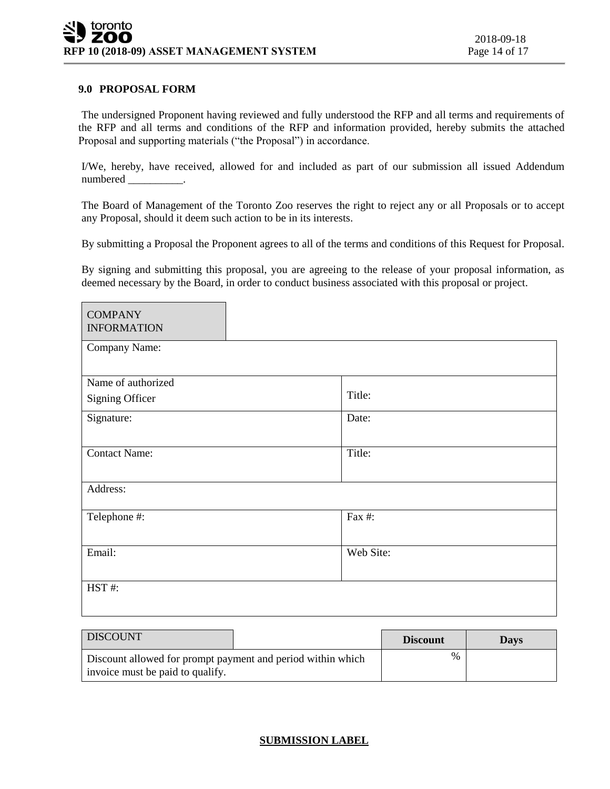#### **9.0 PROPOSAL FORM**

The undersigned Proponent having reviewed and fully understood the RFP and all terms and requirements of the RFP and all terms and conditions of the RFP and information provided, hereby submits the attached Proposal and supporting materials ("the Proposal") in accordance.

I/We, hereby, have received, allowed for and included as part of our submission all issued Addendum numbered \_\_\_\_\_\_\_\_\_\_.

The Board of Management of the Toronto Zoo reserves the right to reject any or all Proposals or to accept any Proposal, should it deem such action to be in its interests.

By submitting a Proposal the Proponent agrees to all of the terms and conditions of this Request for Proposal.

By signing and submitting this proposal, you are agreeing to the release of your proposal information, as deemed necessary by the Board, in order to conduct business associated with this proposal or project.

| <b>COMPANY</b><br><b>INFORMATION</b> |           |
|--------------------------------------|-----------|
| Company Name:                        |           |
| Name of authorized                   |           |
| <b>Signing Officer</b>               | Title:    |
| Signature:                           | Date:     |
| <b>Contact Name:</b>                 | Title:    |
| Address:                             |           |
| Telephone #:                         | Fax #:    |
| Email:                               | Web Site: |
| HST#:                                |           |

| <b>DISCOUNT</b>                                                                                 | <b>Discount</b> | <b>Days</b> |
|-------------------------------------------------------------------------------------------------|-----------------|-------------|
| Discount allowed for prompt payment and period within which<br>invoice must be paid to qualify. | $\%$            |             |

#### **SUBMISSION LABEL**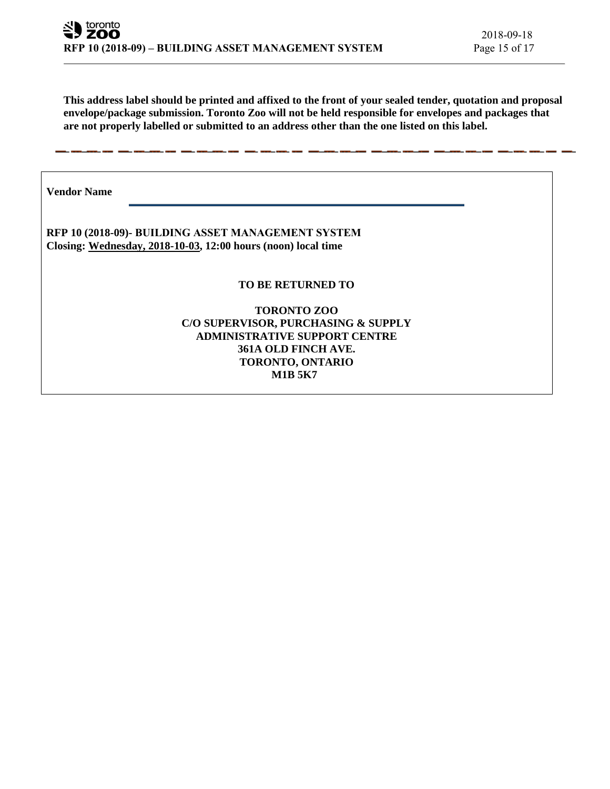**This address label should be printed and affixed to the front of your sealed tender, quotation and proposal envelope/package submission. Toronto Zoo will not be held responsible for envelopes and packages that are not properly labelled or submitted to an address other than the one listed on this label.**

**Vendor Name** 

**RFP 10 (2018-09)- BUILDING ASSET MANAGEMENT SYSTEM Closing: Wednesday, 2018-10-03, 12:00 hours (noon) local time**

**TO BE RETURNED TO**

**TORONTO ZOO C/O SUPERVISOR, PURCHASING & SUPPLY ADMINISTRATIVE SUPPORT CENTRE 361A OLD FINCH AVE. TORONTO, ONTARIO M1B 5K7**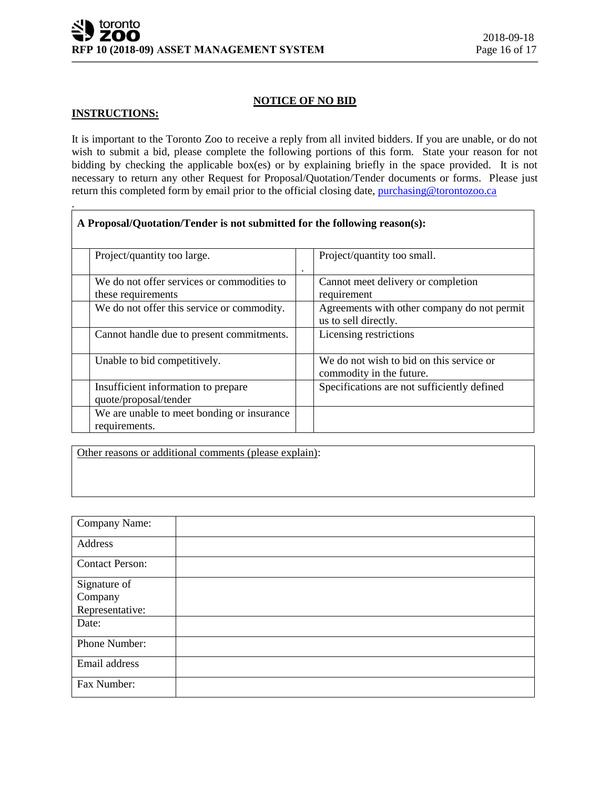#### **NOTICE OF NO BID**

#### **INSTRUCTIONS:**

.

It is important to the Toronto Zoo to receive a reply from all invited bidders. If you are unable, or do not wish to submit a bid, please complete the following portions of this form. State your reason for not bidding by checking the applicable box(es) or by explaining briefly in the space provided. It is not necessary to return any other Request for Proposal/Quotation/Tender documents or forms. Please just return this completed form by email prior to the official closing date, [purchasing@torontozoo.ca](mailto:purchasing@torontozoo.ca)

| A Proposal/Quotation/Tender is not submitted for the following reason(s): |           |                                                                      |  |
|---------------------------------------------------------------------------|-----------|----------------------------------------------------------------------|--|
| Project/quantity too large.                                               | $\bullet$ | Project/quantity too small.                                          |  |
| We do not offer services or commodities to<br>these requirements          |           | Cannot meet delivery or completion<br>requirement                    |  |
| We do not offer this service or commodity.                                |           | Agreements with other company do not permit<br>us to sell directly.  |  |
| Cannot handle due to present commitments.                                 |           | Licensing restrictions                                               |  |
| Unable to bid competitively.                                              |           | We do not wish to bid on this service or<br>commodity in the future. |  |
| Insufficient information to prepare<br>quote/proposal/tender              |           | Specifications are not sufficiently defined                          |  |
| We are unable to meet bonding or insurance<br>requirements.               |           |                                                                      |  |

Other reasons or additional comments (please explain):

| Company Name:           |  |
|-------------------------|--|
| Address                 |  |
| <b>Contact Person:</b>  |  |
| Signature of<br>Company |  |
| Representative:         |  |
| Date:                   |  |
| Phone Number:           |  |
| Email address           |  |
| Fax Number:             |  |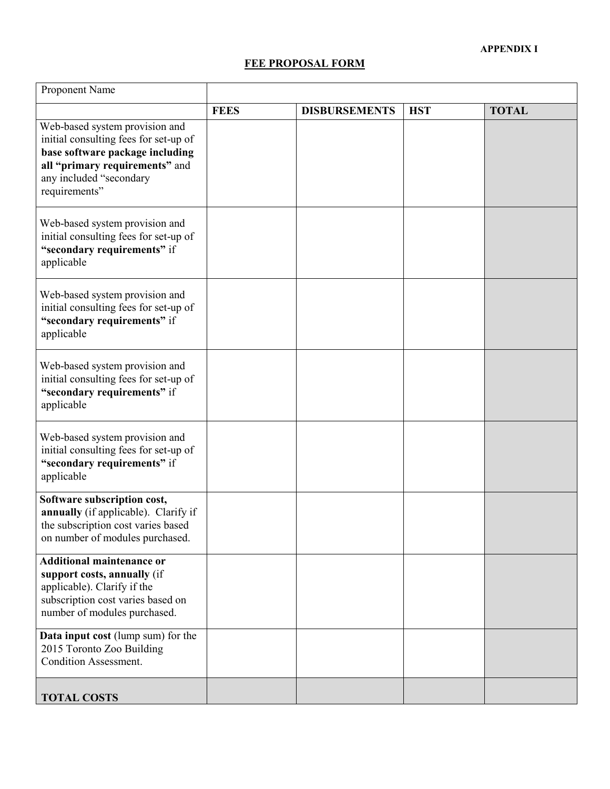#### **FEE PROPOSAL FORM**

| Proponent Name                                                                                                                                                                           |             |                      |            |              |
|------------------------------------------------------------------------------------------------------------------------------------------------------------------------------------------|-------------|----------------------|------------|--------------|
|                                                                                                                                                                                          | <b>FEES</b> | <b>DISBURSEMENTS</b> | <b>HST</b> | <b>TOTAL</b> |
| Web-based system provision and<br>initial consulting fees for set-up of<br>base software package including<br>all "primary requirements" and<br>any included "secondary<br>requirements" |             |                      |            |              |
| Web-based system provision and<br>initial consulting fees for set-up of<br>"secondary requirements" if<br>applicable                                                                     |             |                      |            |              |
| Web-based system provision and<br>initial consulting fees for set-up of<br>"secondary requirements" if<br>applicable                                                                     |             |                      |            |              |
| Web-based system provision and<br>initial consulting fees for set-up of<br>"secondary requirements" if<br>applicable                                                                     |             |                      |            |              |
| Web-based system provision and<br>initial consulting fees for set-up of<br>"secondary requirements" if<br>applicable                                                                     |             |                      |            |              |
| Software subscription cost,<br>annually (if applicable). Clarify if<br>the subscription cost varies based<br>on number of modules purchased.                                             |             |                      |            |              |
| <b>Additional maintenance or</b><br>support costs, annually (if<br>applicable). Clarify if the<br>subscription cost varies based on<br>number of modules purchased.                      |             |                      |            |              |
| Data input cost (lump sum) for the<br>2015 Toronto Zoo Building<br><b>Condition Assessment.</b>                                                                                          |             |                      |            |              |
| <b>TOTAL COSTS</b>                                                                                                                                                                       |             |                      |            |              |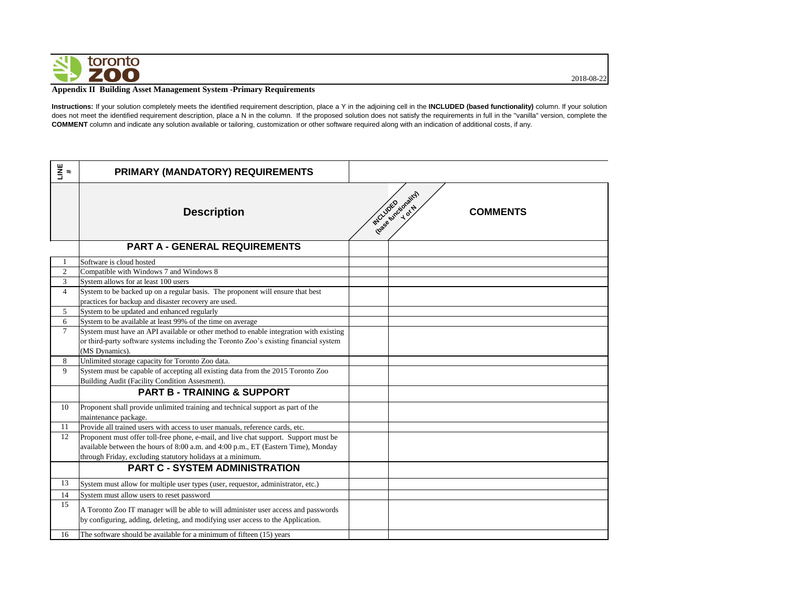

2018-08-22

## **Appendix II Building Asset Management System -Primary Requirements**

**Instructions:** If your solution completely meets the identified requirement description, place a Y in the adjoining cell in the **INCLUDED (based functionality)** column. If your solution does not meet the identified requirement description, place a N in the column. If the proposed solution does not satisfy the requirements in full in the "vanilla" version, complete the **COMMENT** column and indicate any solution available or tailoring, customization or other software required along with an indication of additional costs, if any.

| LINE<br>#      | PRIMARY (MANDATORY) REQUIREMENTS                                                                                                                                      |                                                     |
|----------------|-----------------------------------------------------------------------------------------------------------------------------------------------------------------------|-----------------------------------------------------|
|                | <b>Description</b>                                                                                                                                                    | Ibase functionality)<br>INCLUDED<br><b>COMMENTS</b> |
|                | <b>PART A - GENERAL REQUIREMENTS</b>                                                                                                                                  |                                                     |
|                | Software is cloud hosted                                                                                                                                              |                                                     |
| $\overline{2}$ | Compatible with Windows 7 and Windows 8                                                                                                                               |                                                     |
| $\overline{3}$ | System allows for at least 100 users                                                                                                                                  |                                                     |
| $\overline{4}$ | System to be backed up on a regular basis. The proponent will ensure that best                                                                                        |                                                     |
|                | practices for backup and disaster recovery are used.                                                                                                                  |                                                     |
| 5 <sup>5</sup> | System to be updated and enhanced regularly                                                                                                                           |                                                     |
| 6              | System to be available at least 99% of the time on average                                                                                                            |                                                     |
| $\tau$         | System must have an API available or other method to enable integration with existing                                                                                 |                                                     |
|                | or third-party software systems including the Toronto Zoo's existing financial system                                                                                 |                                                     |
|                | (MS Dynamics).                                                                                                                                                        |                                                     |
| 8              | Unlimited storage capacity for Toronto Zoo data.                                                                                                                      |                                                     |
| 9              | System must be capable of accepting all existing data from the 2015 Toronto Zoo                                                                                       |                                                     |
|                | Building Audit (Facility Condition Assesment).                                                                                                                        |                                                     |
|                | <b>PART B - TRAINING &amp; SUPPORT</b>                                                                                                                                |                                                     |
| 10             | Proponent shall provide unlimited training and technical support as part of the<br>maintenance package.                                                               |                                                     |
| 11             | Provide all trained users with access to user manuals, reference cards, etc.                                                                                          |                                                     |
| 12             | Proponent must offer toll-free phone, e-mail, and live chat support. Support must be                                                                                  |                                                     |
|                | available between the hours of 8:00 a.m. and 4:00 p.m., ET (Eastern Time), Monday                                                                                     |                                                     |
|                | through Friday, excluding statutory holidays at a minimum.                                                                                                            |                                                     |
|                | <b>PART C - SYSTEM ADMINISTRATION</b>                                                                                                                                 |                                                     |
| 13             | System must allow for multiple user types (user, requestor, administrator, etc.)                                                                                      |                                                     |
| 14             | System must allow users to reset password                                                                                                                             |                                                     |
| 15             | A Toronto Zoo IT manager will be able to will administer user access and passwords<br>by configuring, adding, deleting, and modifying user access to the Application. |                                                     |
| 16             | The software should be available for a minimum of fifteen (15) years                                                                                                  |                                                     |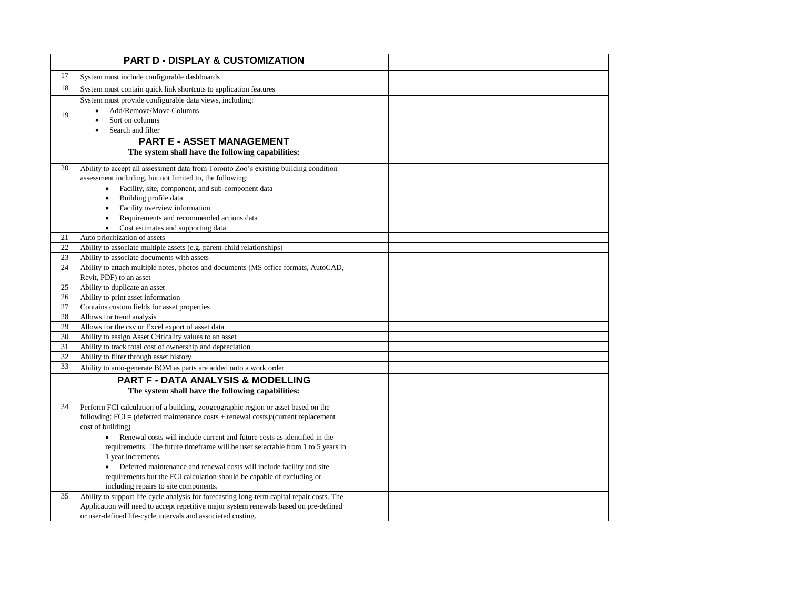|          | <b>PART D - DISPLAY &amp; CUSTOMIZATION</b>                                                                                                                                                                                                                                                                                                                                                                                                                                                                                                                                                  |  |
|----------|----------------------------------------------------------------------------------------------------------------------------------------------------------------------------------------------------------------------------------------------------------------------------------------------------------------------------------------------------------------------------------------------------------------------------------------------------------------------------------------------------------------------------------------------------------------------------------------------|--|
| 17       | System must include configurable dashboards                                                                                                                                                                                                                                                                                                                                                                                                                                                                                                                                                  |  |
| 18       | System must contain quick link shortcuts to application features                                                                                                                                                                                                                                                                                                                                                                                                                                                                                                                             |  |
| 19       | System must provide configurable data views, including:<br>Add/Remove/Move Columns<br>Sort on columns<br>Search and filter                                                                                                                                                                                                                                                                                                                                                                                                                                                                   |  |
|          | <b>PART E - ASSET MANAGEMENT</b>                                                                                                                                                                                                                                                                                                                                                                                                                                                                                                                                                             |  |
|          | The system shall have the following capabilities:                                                                                                                                                                                                                                                                                                                                                                                                                                                                                                                                            |  |
| 20       | Ability to accept all assessment data from Toronto Zoo's existing building condition<br>assessment including, but not limited to, the following:<br>Facility, site, component, and sub-component data<br>$\bullet$<br>Building profile data<br>٠<br>Facility overview information<br>$\bullet$<br>Requirements and recommended actions data<br>Cost estimates and supporting data                                                                                                                                                                                                            |  |
| 21       | Auto prioritization of assets                                                                                                                                                                                                                                                                                                                                                                                                                                                                                                                                                                |  |
| 22       | Ability to associate multiple assets (e.g. parent-child relationships)                                                                                                                                                                                                                                                                                                                                                                                                                                                                                                                       |  |
| 23       | Ability to associate documents with assets                                                                                                                                                                                                                                                                                                                                                                                                                                                                                                                                                   |  |
| 24       | Ability to attach multiple notes, photos and documents (MS office formats, AutoCAD,<br>Revit, PDF) to an asset                                                                                                                                                                                                                                                                                                                                                                                                                                                                               |  |
| 25       | Ability to duplicate an asset                                                                                                                                                                                                                                                                                                                                                                                                                                                                                                                                                                |  |
| 26       | Ability to print asset information                                                                                                                                                                                                                                                                                                                                                                                                                                                                                                                                                           |  |
| 27<br>28 | Contains custom fields for asset properties<br>Allows for trend analysis                                                                                                                                                                                                                                                                                                                                                                                                                                                                                                                     |  |
| 29       | Allows for the csv or Excel export of asset data                                                                                                                                                                                                                                                                                                                                                                                                                                                                                                                                             |  |
| 30       | Ability to assign Asset Criticality values to an asset                                                                                                                                                                                                                                                                                                                                                                                                                                                                                                                                       |  |
| 31       | Ability to track total cost of ownership and depreciation                                                                                                                                                                                                                                                                                                                                                                                                                                                                                                                                    |  |
| 32       | Ability to filter through asset history                                                                                                                                                                                                                                                                                                                                                                                                                                                                                                                                                      |  |
| 33       | Ability to auto-generate BOM as parts are added onto a work order                                                                                                                                                                                                                                                                                                                                                                                                                                                                                                                            |  |
|          | <b>PART F - DATA ANALYSIS &amp; MODELLING</b>                                                                                                                                                                                                                                                                                                                                                                                                                                                                                                                                                |  |
|          | The system shall have the following capabilities:                                                                                                                                                                                                                                                                                                                                                                                                                                                                                                                                            |  |
| 34       | Perform FCI calculation of a building, zoogeographic region or asset based on the<br>following: $FCI = (defined maintenance costs + renewal costs)/(current replacement)$<br>cost of building)<br>Renewal costs will include current and future costs as identified in the<br>$\bullet$<br>requirements. The future timeframe will be user selectable from 1 to 5 years in<br>1 year increments.<br>Deferred maintenance and renewal costs will include facility and site<br>requirements but the FCI calculation should be capable of excluding or<br>including repairs to site components. |  |
| 35       | Ability to support life-cycle analysis for forecasting long-term capital repair costs. The<br>Application will need to accept repetitive major system renewals based on pre-defined<br>or user-defined life-cycle intervals and associated costing.                                                                                                                                                                                                                                                                                                                                          |  |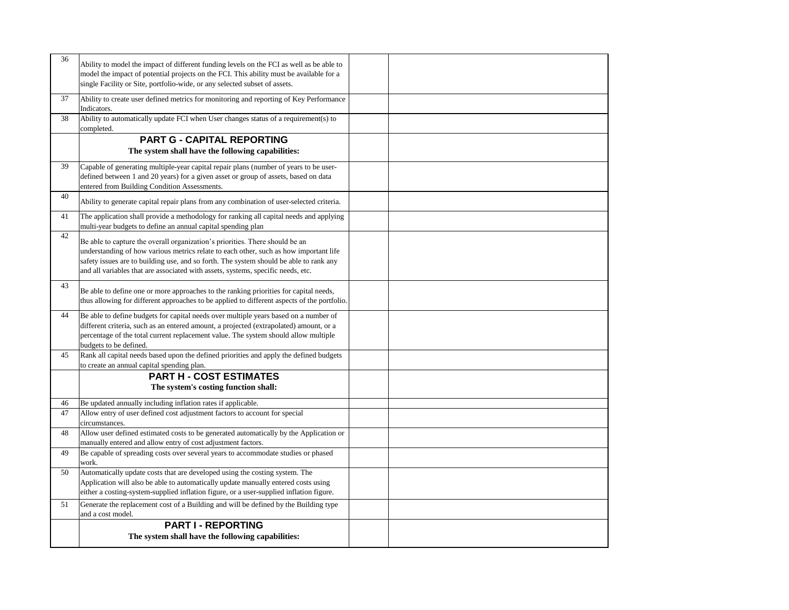| 36 | Ability to model the impact of different funding levels on the FCI as well as be able to<br>model the impact of potential projects on the FCI. This ability must be available for a<br>single Facility or Site, portfolio-wide, or any selected subset of assets.                                                                                   |  |
|----|-----------------------------------------------------------------------------------------------------------------------------------------------------------------------------------------------------------------------------------------------------------------------------------------------------------------------------------------------------|--|
| 37 | Ability to create user defined metrics for monitoring and reporting of Key Performance<br>Indicators.                                                                                                                                                                                                                                               |  |
| 38 | Ability to automatically update FCI when User changes status of a requirement(s) to<br>completed.                                                                                                                                                                                                                                                   |  |
|    | <b>PART G - CAPITAL REPORTING</b><br>The system shall have the following capabilities:                                                                                                                                                                                                                                                              |  |
| 39 | Capable of generating multiple-year capital repair plans (number of years to be user-<br>defined between 1 and 20 years) for a given asset or group of assets, based on data<br>entered from Building Condition Assessments.                                                                                                                        |  |
| 40 | Ability to generate capital repair plans from any combination of user-selected criteria.                                                                                                                                                                                                                                                            |  |
| 41 | The application shall provide a methodology for ranking all capital needs and applying<br>multi-year budgets to define an annual capital spending plan                                                                                                                                                                                              |  |
| 42 | Be able to capture the overall organization's priorities. There should be an<br>understanding of how various metrics relate to each other, such as how important life<br>safety issues are to building use, and so forth. The system should be able to rank any<br>and all variables that are associated with assets, systems, specific needs, etc. |  |
| 43 | Be able to define one or more approaches to the ranking priorities for capital needs,<br>thus allowing for different approaches to be applied to different aspects of the portfolio.                                                                                                                                                                |  |
| 44 | Be able to define budgets for capital needs over multiple years based on a number of<br>different criteria, such as an entered amount, a projected (extrapolated) amount, or a<br>percentage of the total current replacement value. The system should allow multiple<br>budgets to be defined.                                                     |  |
| 45 | Rank all capital needs based upon the defined priorities and apply the defined budgets<br>to create an annual capital spending plan.                                                                                                                                                                                                                |  |
|    | <b>PART H - COST ESTIMATES</b><br>The system's costing function shall:                                                                                                                                                                                                                                                                              |  |
| 46 | Be updated annually including inflation rates if applicable.                                                                                                                                                                                                                                                                                        |  |
| 47 | Allow entry of user defined cost adjustment factors to account for special<br>circumstances.                                                                                                                                                                                                                                                        |  |
| 48 | Allow user defined estimated costs to be generated automatically by the Application or<br>manually entered and allow entry of cost adjustment factors.                                                                                                                                                                                              |  |
| 49 | Be capable of spreading costs over several years to accommodate studies or phased<br>work.                                                                                                                                                                                                                                                          |  |
| 50 | Automatically update costs that are developed using the costing system. The<br>Application will also be able to automatically update manually entered costs using<br>either a costing-system-supplied inflation figure, or a user-supplied inflation figure.                                                                                        |  |
| 51 | Generate the replacement cost of a Building and will be defined by the Building type<br>and a cost model.                                                                                                                                                                                                                                           |  |
|    | <b>PART I - REPORTING</b><br>The system shall have the following capabilities:                                                                                                                                                                                                                                                                      |  |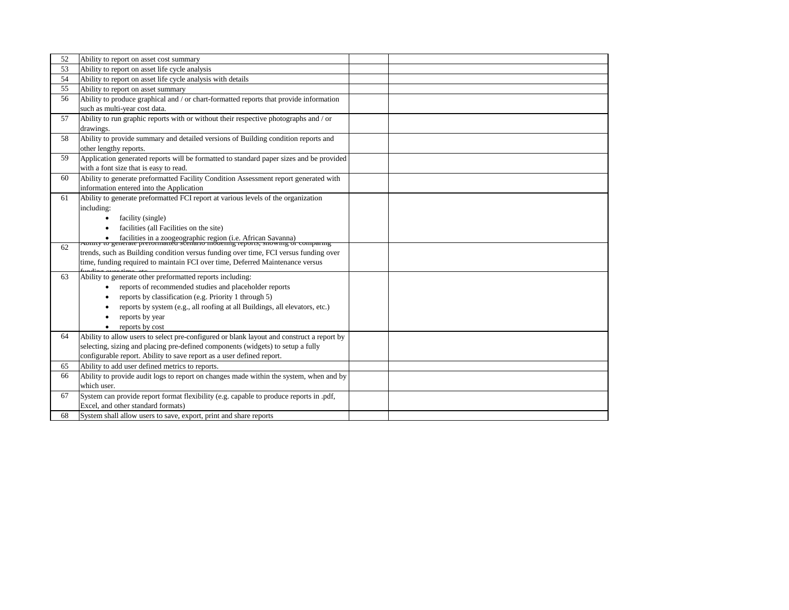| 52 | Ability to report on asset cost summary                                                                                                                                      |  |
|----|------------------------------------------------------------------------------------------------------------------------------------------------------------------------------|--|
| 53 | Ability to report on asset life cycle analysis                                                                                                                               |  |
| 54 | Ability to report on asset life cycle analysis with details                                                                                                                  |  |
| 55 | Ability to report on asset summary                                                                                                                                           |  |
| 56 | Ability to produce graphical and / or chart-formatted reports that provide information                                                                                       |  |
|    | such as multi-year cost data.                                                                                                                                                |  |
| 57 | Ability to run graphic reports with or without their respective photographs and / or                                                                                         |  |
|    | drawings.                                                                                                                                                                    |  |
| 58 | Ability to provide summary and detailed versions of Building condition reports and                                                                                           |  |
|    | other lengthy reports.                                                                                                                                                       |  |
| 59 | Application generated reports will be formatted to standard paper sizes and be provided                                                                                      |  |
|    | with a font size that is easy to read.                                                                                                                                       |  |
| 60 | Ability to generate preformatted Facility Condition Assessment report generated with                                                                                         |  |
|    | information entered into the Application                                                                                                                                     |  |
| 61 | Ability to generate preformatted FCI report at various levels of the organization                                                                                            |  |
|    | including:                                                                                                                                                                   |  |
|    | facility (single)<br>$\bullet$                                                                                                                                               |  |
|    | facilities (all Facilities on the site)                                                                                                                                      |  |
|    | • facilities in a zoogeographic region (i.e. African Savanna)<br>Aonny to generate prerormatted scenario modernig reports, showing or comparing                              |  |
| 62 | trends, such as Building condition versus funding over time, FCI versus funding over                                                                                         |  |
|    | time, funding required to maintain FCI over time, Deferred Maintenance versus                                                                                                |  |
|    |                                                                                                                                                                              |  |
| 63 | Ability to generate other preformatted reports including:                                                                                                                    |  |
|    | reports of recommended studies and placeholder reports                                                                                                                       |  |
|    | reports by classification (e.g. Priority 1 through 5)                                                                                                                        |  |
|    | reports by system (e.g., all roofing at all Buildings, all elevators, etc.)                                                                                                  |  |
|    | reports by year                                                                                                                                                              |  |
|    | reports by cost                                                                                                                                                              |  |
| 64 | Ability to allow users to select pre-configured or blank layout and construct a report by<br>selecting, sizing and placing pre-defined components (widgets) to setup a fully |  |
|    | configurable report. Ability to save report as a user defined report.                                                                                                        |  |
| 65 | Ability to add user defined metrics to reports.                                                                                                                              |  |
| 66 | Ability to provide audit logs to report on changes made within the system, when and by                                                                                       |  |
|    | which user.                                                                                                                                                                  |  |
| 67 | System can provide report format flexibility (e.g. capable to produce reports in .pdf,                                                                                       |  |
|    | Excel, and other standard formats)                                                                                                                                           |  |
| 68 | System shall allow users to save, export, print and share reports                                                                                                            |  |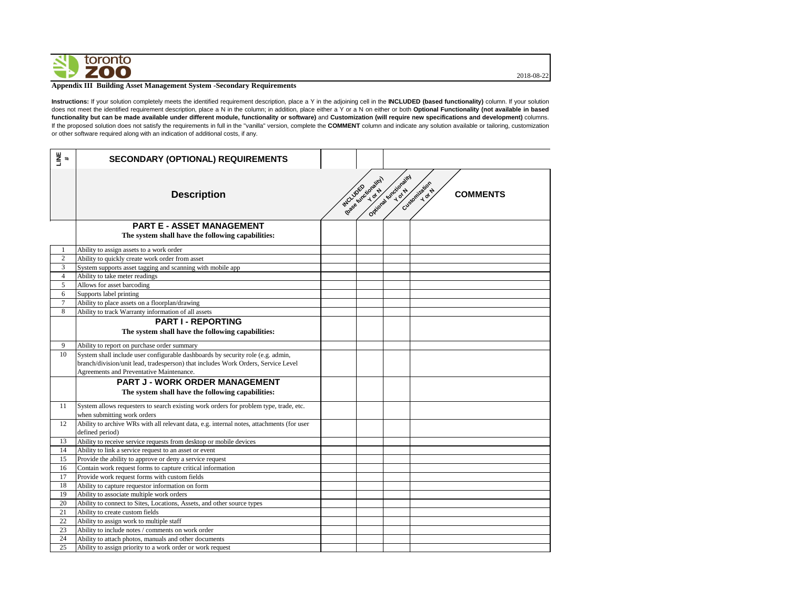2018-08-22

# toronto **ZOO**

## **Appendix III Building Asset Management System -Secondary Requirements**

**Instructions:** If your solution completely meets the identified requirement description, place a Y in the adjoining cell in the **INCLUDED (based functionality)** column. If your solution does not meet the identified requirement description, place a N in the column; in addition, place either a Y or a N on either or both **Optional Functionality (not available in based** functionality but can be made available under different module, functionality or software) and Customization (will require new specifications and development) columns. If the proposed solution does not satisfy the requirements in full in the "vanilla" version, complete the **COMMENT** column and indicate any solution available or tailoring, customization or other software required along with an indication of additional costs, if any.

| LINE<br>#      | <b>SECONDARY (OPTIONAL) REQUIREMENTS</b>                                                                             |          |                      |                        |                         |                 |
|----------------|----------------------------------------------------------------------------------------------------------------------|----------|----------------------|------------------------|-------------------------|-----------------|
|                | <b>Description</b>                                                                                                   | INCLUDED | Ibase functionality) | Optional functionality | Customization<br>Y of N | <b>COMMENTS</b> |
|                | <b>PART E - ASSET MANAGEMENT</b>                                                                                     |          |                      |                        |                         |                 |
|                | The system shall have the following capabilities:                                                                    |          |                      |                        |                         |                 |
|                | Ability to assign assets to a work order                                                                             |          |                      |                        |                         |                 |
| $\mathbf{2}$   | Ability to quickly create work order from asset                                                                      |          |                      |                        |                         |                 |
| 3              | System supports asset tagging and scanning with mobile app                                                           |          |                      |                        |                         |                 |
| $\overline{4}$ | Ability to take meter readings                                                                                       |          |                      |                        |                         |                 |
| 5              | Allows for asset barcoding                                                                                           |          |                      |                        |                         |                 |
| 6              | Supports label printing                                                                                              |          |                      |                        |                         |                 |
| 7              | Ability to place assets on a floorplan/drawing                                                                       |          |                      |                        |                         |                 |
| 8              | Ability to track Warranty information of all assets                                                                  |          |                      |                        |                         |                 |
|                | <b>PART I - REPORTING</b><br>The system shall have the following capabilities:                                       |          |                      |                        |                         |                 |
| 9              | Ability to report on purchase order summary                                                                          |          |                      |                        |                         |                 |
| 10             | System shall include user configurable dashboards by security role (e.g. admin,                                      |          |                      |                        |                         |                 |
|                | branch/division/unit lead, tradesperson) that includes Work Orders, Service Level                                    |          |                      |                        |                         |                 |
|                | Agreements and Preventative Maintenance.                                                                             |          |                      |                        |                         |                 |
|                | <b>PART J - WORK ORDER MANAGEMENT</b>                                                                                |          |                      |                        |                         |                 |
|                | The system shall have the following capabilities:                                                                    |          |                      |                        |                         |                 |
| 11             | System allows requesters to search existing work orders for problem type, trade, etc.<br>when submitting work orders |          |                      |                        |                         |                 |
| 12             | Ability to archive WRs with all relevant data, e.g. internal notes, attachments (for user<br>defined period)         |          |                      |                        |                         |                 |
| 13             | Ability to receive service requests from desktop or mobile devices                                                   |          |                      |                        |                         |                 |
| 14             | Ability to link a service request to an asset or event                                                               |          |                      |                        |                         |                 |
| 15             | Provide the ability to approve or deny a service request                                                             |          |                      |                        |                         |                 |
| 16             | Contain work request forms to capture critical information                                                           |          |                      |                        |                         |                 |
| 17             | Provide work request forms with custom fields                                                                        |          |                      |                        |                         |                 |
| 18             | Ability to capture requestor information on form                                                                     |          |                      |                        |                         |                 |
| 19             | Ability to associate multiple work orders                                                                            |          |                      |                        |                         |                 |
| 20             | Ability to connect to Sites, Locations, Assets, and other source types                                               |          |                      |                        |                         |                 |
| 21             | Ability to create custom fields                                                                                      |          |                      |                        |                         |                 |
| 22             | Ability to assign work to multiple staff                                                                             |          |                      |                        |                         |                 |
| 23             | Ability to include notes / comments on work order                                                                    |          |                      |                        |                         |                 |
| 24             | Ability to attach photos, manuals and other documents                                                                |          |                      |                        |                         |                 |
| 25             | Ability to assign priority to a work order or work request                                                           |          |                      |                        |                         |                 |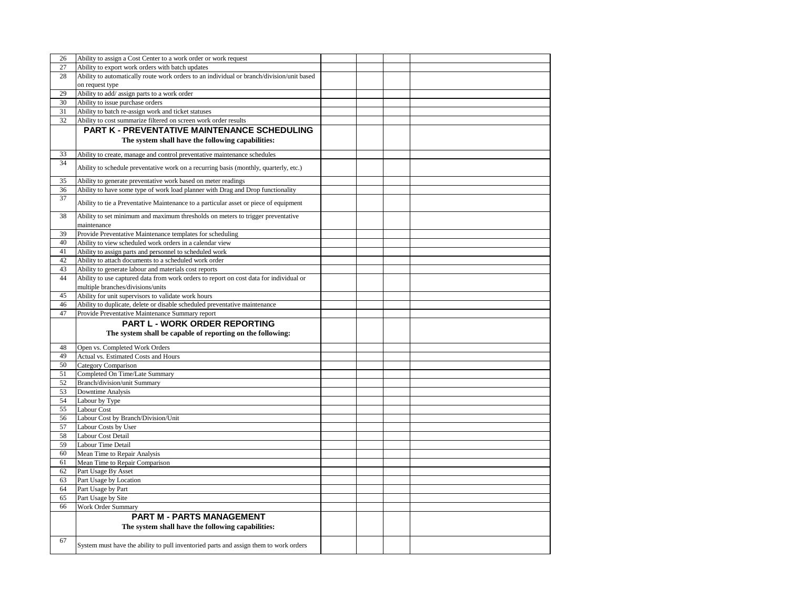| 26 | Ability to assign a Cost Center to a work order or work request                           |  |  |
|----|-------------------------------------------------------------------------------------------|--|--|
| 27 | Ability to export work orders with batch updates                                          |  |  |
| 28 | Ability to automatically route work orders to an individual or branch/division/unit based |  |  |
|    | on request type                                                                           |  |  |
| 29 | Ability to add/ assign parts to a work order                                              |  |  |
| 30 | Ability to issue purchase orders                                                          |  |  |
| 31 | Ability to batch re-assign work and ticket statuses                                       |  |  |
| 32 | Ability to cost summarize filtered on screen work order results                           |  |  |
|    | <b>PART K - PREVENTATIVE MAINTENANCE SCHEDULING</b>                                       |  |  |
|    |                                                                                           |  |  |
|    | The system shall have the following capabilities:                                         |  |  |
| 33 | Ability to create, manage and control preventative maintenance schedules                  |  |  |
| 34 |                                                                                           |  |  |
|    | Ability to schedule preventative work on a recurring basis (monthly, quarterly, etc.)     |  |  |
| 35 | Ability to generate preventative work based on meter readings                             |  |  |
| 36 | Ability to have some type of work load planner with Drag and Drop functionality           |  |  |
| 37 |                                                                                           |  |  |
|    | Ability to tie a Preventative Maintenance to a particular asset or piece of equipment     |  |  |
| 38 | Ability to set minimum and maximum thresholds on meters to trigger preventative           |  |  |
|    | maintenance                                                                               |  |  |
| 39 | Provide Preventative Maintenance templates for scheduling                                 |  |  |
| 40 | Ability to view scheduled work orders in a calendar view                                  |  |  |
| 41 | Ability to assign parts and personnel to scheduled work                                   |  |  |
| 42 | Ability to attach documents to a scheduled work order                                     |  |  |
| 43 |                                                                                           |  |  |
| 44 | Ability to generate labour and materials cost reports                                     |  |  |
|    | Ability to use captured data from work orders to report on cost data for individual or    |  |  |
|    | multiple branches/divisions/units                                                         |  |  |
| 45 | Ability for unit supervisors to validate work hours                                       |  |  |
| 46 | Ability to duplicate, delete or disable scheduled preventative maintenance                |  |  |
| 47 | Provide Preventative Maintenance Summary report                                           |  |  |
|    | PART L - WORK ORDER REPORTING                                                             |  |  |
|    | The system shall be capable of reporting on the following:                                |  |  |
|    |                                                                                           |  |  |
| 48 | Open vs. Completed Work Orders                                                            |  |  |
| 49 | Actual vs. Estimated Costs and Hours                                                      |  |  |
| 50 | <b>Category Comparison</b>                                                                |  |  |
| 51 | Completed On Time/Late Summary                                                            |  |  |
| 52 | Branch/division/unit Summary                                                              |  |  |
|    |                                                                                           |  |  |
| 53 | Downtime Analysis                                                                         |  |  |
| 54 | Labour by Type                                                                            |  |  |
| 55 | Labour Cost                                                                               |  |  |
|    |                                                                                           |  |  |
| 56 | Labour Cost by Branch/Division/Unit                                                       |  |  |
| 57 | Labour Costs by User                                                                      |  |  |
| 58 | Labour Cost Detail                                                                        |  |  |
| 59 | Labour Time Detail                                                                        |  |  |
| 60 | Mean Time to Repair Analysis                                                              |  |  |
| 61 | Mean Time to Repair Comparison                                                            |  |  |
| 62 | Part Usage By Asset                                                                       |  |  |
| 63 | Part Usage by Location                                                                    |  |  |
| 64 | Part Usage by Part                                                                        |  |  |
| 65 | Part Usage by Site                                                                        |  |  |
| 66 | <b>Work Order Summary</b>                                                                 |  |  |
|    |                                                                                           |  |  |
|    | <b>PART M - PARTS MANAGEMENT</b>                                                          |  |  |
|    | The system shall have the following capabilities:                                         |  |  |
| 67 |                                                                                           |  |  |
|    | System must have the ability to pull inventoried parts and assign them to work orders     |  |  |